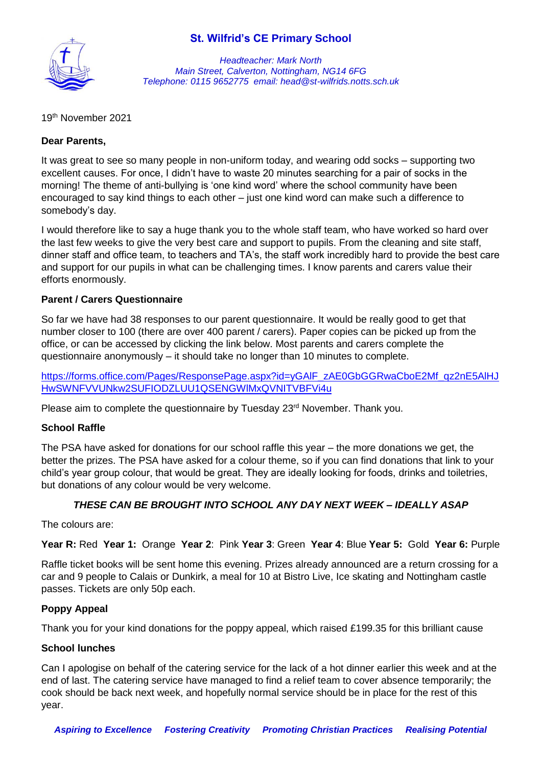## **St. Wilfrid's CE Primary School**



*Headteacher: Mark North Main Street, Calverton, Nottingham, NG14 6FG Telephone: 0115 9652775 email: head@st-wilfrids.notts.sch.uk*

19 th November 2021

### **Dear Parents,**

It was great to see so many people in non-uniform today, and wearing odd socks – supporting two excellent causes. For once, I didn't have to waste 20 minutes searching for a pair of socks in the morning! The theme of anti-bullying is 'one kind word' where the school community have been encouraged to say kind things to each other – just one kind word can make such a difference to somebody's day.

I would therefore like to say a huge thank you to the whole staff team, who have worked so hard over the last few weeks to give the very best care and support to pupils. From the cleaning and site staff, dinner staff and office team, to teachers and TA's, the staff work incredibly hard to provide the best care and support for our pupils in what can be challenging times. I know parents and carers value their efforts enormously.

### **Parent / Carers Questionnaire**

So far we have had 38 responses to our parent questionnaire. It would be really good to get that number closer to 100 (there are over 400 parent / carers). Paper copies can be picked up from the office, or can be accessed by clicking the link below. Most parents and carers complete the questionnaire anonymously – it should take no longer than 10 minutes to complete.

https://forms.office.com/Pages/ResponsePage.aspx?id=yGAIF\_zAE0GbGGRwaCboE2Mf\_gz2nE5AlHJ [HwSWNFVVUNkw2SUFIODZLUU1QSENGWlMxQVNITVBFVi4u](https://forms.office.com/Pages/ResponsePage.aspx?id=yGAlF_zAE0GbGGRwaCboE2Mf_qz2nE5AlHJHwSWNFVVUNkw2SUFIODZLUU1QSENGWlMxQVNITVBFVi4u)

Please aim to complete the questionnaire by Tuesday 23<sup>rd</sup> November. Thank you.

### **School Raffle**

The PSA have asked for donations for our school raffle this year – the more donations we get, the better the prizes. The PSA have asked for a colour theme, so if you can find donations that link to your child's year group colour, that would be great. They are ideally looking for foods, drinks and toiletries, but donations of any colour would be very welcome.

### *THESE CAN BE BROUGHT INTO SCHOOL ANY DAY NEXT WEEK – IDEALLY ASAP*

The colours are:

**Year R:** Red **Year 1:** Orange **Year 2**: Pink **Year 3**: Green **Year 4**: Blue **Year 5:** Gold **Year 6:** Purple

Raffle ticket books will be sent home this evening. Prizes already announced are a return crossing for a car and 9 people to Calais or Dunkirk, a meal for 10 at Bistro Live, Ice skating and Nottingham castle passes. Tickets are only 50p each.

#### **Poppy Appeal**

Thank you for your kind donations for the poppy appeal, which raised £199.35 for this brilliant cause

#### **School lunches**

Can I apologise on behalf of the catering service for the lack of a hot dinner earlier this week and at the end of last. The catering service have managed to find a relief team to cover absence temporarily; the cook should be back next week, and hopefully normal service should be in place for the rest of this year.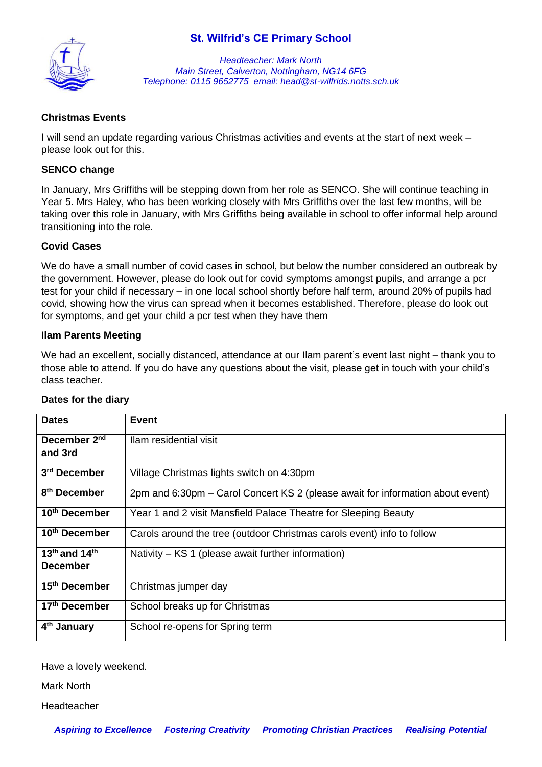## **St. Wilfrid's CE Primary School**



*Headteacher: Mark North Main Street, Calverton, Nottingham, NG14 6FG Telephone: 0115 9652775 email: head@st-wilfrids.notts.sch.uk*

## **Christmas Events**

I will send an update regarding various Christmas activities and events at the start of next week – please look out for this.

### **SENCO change**

In January, Mrs Griffiths will be stepping down from her role as SENCO. She will continue teaching in Year 5. Mrs Haley, who has been working closely with Mrs Griffiths over the last few months, will be taking over this role in January, with Mrs Griffiths being available in school to offer informal help around transitioning into the role.

### **Covid Cases**

We do have a small number of covid cases in school, but below the number considered an outbreak by the government. However, please do look out for covid symptoms amongst pupils, and arrange a pcr test for your child if necessary – in one local school shortly before half term, around 20% of pupils had covid, showing how the virus can spread when it becomes established. Therefore, please do look out for symptoms, and get your child a pcr test when they have them

### **Ilam Parents Meeting**

We had an excellent, socially distanced, attendance at our Ilam parent's event last night – thank you to those able to attend. If you do have any questions about the visit, please get in touch with your child's class teacher.

| <b>Dates</b>                                             | <b>Event</b>                                                                   |
|----------------------------------------------------------|--------------------------------------------------------------------------------|
| December 2 <sup>nd</sup><br>and 3rd                      | Ilam residential visit                                                         |
| 3 <sup>rd</sup> December                                 | Village Christmas lights switch on 4:30pm                                      |
| 8 <sup>th</sup> December                                 | 2pm and 6:30pm – Carol Concert KS 2 (please await for information about event) |
| 10 <sup>th</sup> December                                | Year 1 and 2 visit Mansfield Palace Theatre for Sleeping Beauty                |
| 10 <sup>th</sup> December                                | Carols around the tree (outdoor Christmas carols event) info to follow         |
| 13 <sup>th</sup> and 14 <sup>th</sup><br><b>December</b> | Nativity – KS 1 (please await further information)                             |
| 15 <sup>th</sup> December                                | Christmas jumper day                                                           |
| 17 <sup>th</sup> December                                | School breaks up for Christmas                                                 |
| 4 <sup>th</sup> January                                  | School re-opens for Spring term                                                |

#### **Dates for the diary**

Have a lovely weekend.

Mark North

Headteacher